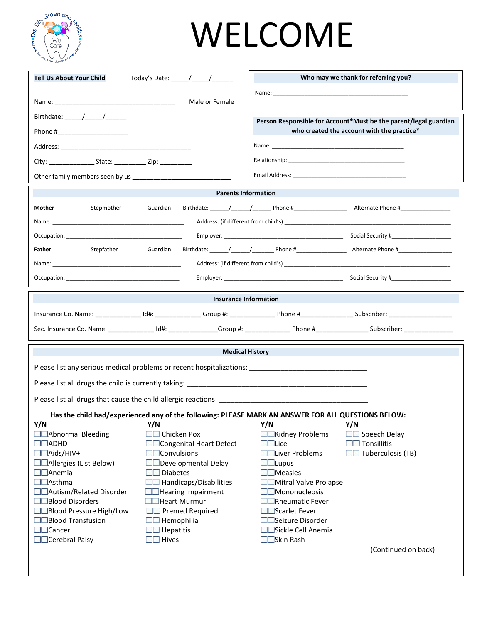

# WELCOME

| <b>Tell Us About Your Child</b>                                                                                                                                                                                                                                                                                                                                                                                      | Today's Date: $\frac{1}{\sqrt{1-\frac{1}{2}}}\frac{1}{\sqrt{1-\frac{1}{2}}}\frac{1}{\sqrt{1-\frac{1}{2}}}\frac{1}{\sqrt{1-\frac{1}{2}}}\frac{1}{\sqrt{1-\frac{1}{2}}}\frac{1}{\sqrt{1-\frac{1}{2}}}\frac{1}{\sqrt{1-\frac{1}{2}}}\frac{1}{\sqrt{1-\frac{1}{2}}}\frac{1}{\sqrt{1-\frac{1}{2}}}\frac{1}{\sqrt{1-\frac{1}{2}}}\frac{1}{\sqrt{1-\frac{1}{2}}}\frac{1}{\sqrt{1-\frac{1}{2}}}\frac{1}{\sqrt{1-\frac{1}{$ |                         |                                                                                                                                                                                                                               | Who may we thank for referring you?                                                                                                                                                                                           |  |  |  |
|----------------------------------------------------------------------------------------------------------------------------------------------------------------------------------------------------------------------------------------------------------------------------------------------------------------------------------------------------------------------------------------------------------------------|--------------------------------------------------------------------------------------------------------------------------------------------------------------------------------------------------------------------------------------------------------------------------------------------------------------------------------------------------------------------------------------------------------------------|-------------------------|-------------------------------------------------------------------------------------------------------------------------------------------------------------------------------------------------------------------------------|-------------------------------------------------------------------------------------------------------------------------------------------------------------------------------------------------------------------------------|--|--|--|
|                                                                                                                                                                                                                                                                                                                                                                                                                      |                                                                                                                                                                                                                                                                                                                                                                                                                    |                         | Name: 2008 2010 2020 2020 2020 2021 2021 2022 2021 2022 2021 2022 2022 2022 2022 2022 2022 2022 2022 2022 2022                                                                                                                |                                                                                                                                                                                                                               |  |  |  |
|                                                                                                                                                                                                                                                                                                                                                                                                                      |                                                                                                                                                                                                                                                                                                                                                                                                                    | Male or Female          |                                                                                                                                                                                                                               |                                                                                                                                                                                                                               |  |  |  |
| Birthdate: $\frac{1}{\sqrt{1-\frac{1}{2}}}\frac{1}{\sqrt{1-\frac{1}{2}}}\frac{1}{\sqrt{1-\frac{1}{2}}}\frac{1}{\sqrt{1-\frac{1}{2}}}\frac{1}{\sqrt{1-\frac{1}{2}}}\frac{1}{\sqrt{1-\frac{1}{2}}}\frac{1}{\sqrt{1-\frac{1}{2}}}\frac{1}{\sqrt{1-\frac{1}{2}}}\frac{1}{\sqrt{1-\frac{1}{2}}}\frac{1}{\sqrt{1-\frac{1}{2}}}\frac{1}{\sqrt{1-\frac{1}{2}}}\frac{1}{\sqrt{1-\frac{1}{2}}}\frac{1}{\sqrt{1-\frac{1}{2}}}\$ |                                                                                                                                                                                                                                                                                                                                                                                                                    |                         |                                                                                                                                                                                                                               |                                                                                                                                                                                                                               |  |  |  |
|                                                                                                                                                                                                                                                                                                                                                                                                                      |                                                                                                                                                                                                                                                                                                                                                                                                                    |                         |                                                                                                                                                                                                                               | Person Responsible for Account*Must be the parent/legal guardian<br>who created the account with the practice*                                                                                                                |  |  |  |
|                                                                                                                                                                                                                                                                                                                                                                                                                      |                                                                                                                                                                                                                                                                                                                                                                                                                    |                         |                                                                                                                                                                                                                               |                                                                                                                                                                                                                               |  |  |  |
|                                                                                                                                                                                                                                                                                                                                                                                                                      |                                                                                                                                                                                                                                                                                                                                                                                                                    |                         |                                                                                                                                                                                                                               |                                                                                                                                                                                                                               |  |  |  |
|                                                                                                                                                                                                                                                                                                                                                                                                                      |                                                                                                                                                                                                                                                                                                                                                                                                                    |                         | Relationship: the contract of the contract of the contract of the contract of the contract of the contract of the contract of the contract of the contract of the contract of the contract of the contract of the contract of |                                                                                                                                                                                                                               |  |  |  |
|                                                                                                                                                                                                                                                                                                                                                                                                                      |                                                                                                                                                                                                                                                                                                                                                                                                                    |                         |                                                                                                                                                                                                                               |                                                                                                                                                                                                                               |  |  |  |
|                                                                                                                                                                                                                                                                                                                                                                                                                      |                                                                                                                                                                                                                                                                                                                                                                                                                    |                         | <b>Parents Information</b>                                                                                                                                                                                                    |                                                                                                                                                                                                                               |  |  |  |
| Mother<br>Stepmother                                                                                                                                                                                                                                                                                                                                                                                                 | Guardian                                                                                                                                                                                                                                                                                                                                                                                                           |                         |                                                                                                                                                                                                                               |                                                                                                                                                                                                                               |  |  |  |
|                                                                                                                                                                                                                                                                                                                                                                                                                      |                                                                                                                                                                                                                                                                                                                                                                                                                    |                         |                                                                                                                                                                                                                               |                                                                                                                                                                                                                               |  |  |  |
| Name: Name: Name: Name: Name: Name: Name: Name: Name: Name: Name: Name: Name: Name: Name: Name: Name: Name: Name: Name: Name: Name: Name: Name: Name: Name: Name: Name: Name: Name: Name: Name: Name: Name: Name: Name: Name:                                                                                                                                                                                        |                                                                                                                                                                                                                                                                                                                                                                                                                    |                         |                                                                                                                                                                                                                               | Address: (if different from child's) example and the set of the set of the set of the set of the set of the set of the set of the set of the set of the set of the set of the set of the set of the set of the set of the set |  |  |  |
| Occupation: the contract of the contract of the contract of the contract of the contract of the contract of the contract of the contract of the contract of the contract of the contract of the contract of the contract of th                                                                                                                                                                                       |                                                                                                                                                                                                                                                                                                                                                                                                                    |                         |                                                                                                                                                                                                                               |                                                                                                                                                                                                                               |  |  |  |
| Father<br>Stepfather                                                                                                                                                                                                                                                                                                                                                                                                 | Guardian                                                                                                                                                                                                                                                                                                                                                                                                           |                         |                                                                                                                                                                                                                               |                                                                                                                                                                                                                               |  |  |  |
|                                                                                                                                                                                                                                                                                                                                                                                                                      |                                                                                                                                                                                                                                                                                                                                                                                                                    |                         |                                                                                                                                                                                                                               |                                                                                                                                                                                                                               |  |  |  |
|                                                                                                                                                                                                                                                                                                                                                                                                                      |                                                                                                                                                                                                                                                                                                                                                                                                                    |                         |                                                                                                                                                                                                                               |                                                                                                                                                                                                                               |  |  |  |
|                                                                                                                                                                                                                                                                                                                                                                                                                      |                                                                                                                                                                                                                                                                                                                                                                                                                    |                         |                                                                                                                                                                                                                               |                                                                                                                                                                                                                               |  |  |  |
|                                                                                                                                                                                                                                                                                                                                                                                                                      |                                                                                                                                                                                                                                                                                                                                                                                                                    |                         | Insurance Information                                                                                                                                                                                                         |                                                                                                                                                                                                                               |  |  |  |
|                                                                                                                                                                                                                                                                                                                                                                                                                      |                                                                                                                                                                                                                                                                                                                                                                                                                    |                         |                                                                                                                                                                                                                               |                                                                                                                                                                                                                               |  |  |  |
|                                                                                                                                                                                                                                                                                                                                                                                                                      |                                                                                                                                                                                                                                                                                                                                                                                                                    |                         |                                                                                                                                                                                                                               |                                                                                                                                                                                                                               |  |  |  |
| <b>Medical History</b>                                                                                                                                                                                                                                                                                                                                                                                               |                                                                                                                                                                                                                                                                                                                                                                                                                    |                         |                                                                                                                                                                                                                               |                                                                                                                                                                                                                               |  |  |  |
|                                                                                                                                                                                                                                                                                                                                                                                                                      |                                                                                                                                                                                                                                                                                                                                                                                                                    |                         |                                                                                                                                                                                                                               |                                                                                                                                                                                                                               |  |  |  |
|                                                                                                                                                                                                                                                                                                                                                                                                                      |                                                                                                                                                                                                                                                                                                                                                                                                                    |                         |                                                                                                                                                                                                                               |                                                                                                                                                                                                                               |  |  |  |
| Please list any serious medical problems or recent hospitalizations: ______________________________                                                                                                                                                                                                                                                                                                                  |                                                                                                                                                                                                                                                                                                                                                                                                                    |                         |                                                                                                                                                                                                                               |                                                                                                                                                                                                                               |  |  |  |
|                                                                                                                                                                                                                                                                                                                                                                                                                      |                                                                                                                                                                                                                                                                                                                                                                                                                    |                         |                                                                                                                                                                                                                               |                                                                                                                                                                                                                               |  |  |  |
|                                                                                                                                                                                                                                                                                                                                                                                                                      |                                                                                                                                                                                                                                                                                                                                                                                                                    |                         |                                                                                                                                                                                                                               |                                                                                                                                                                                                                               |  |  |  |
|                                                                                                                                                                                                                                                                                                                                                                                                                      |                                                                                                                                                                                                                                                                                                                                                                                                                    |                         | Has the child had/experienced any of the following: PLEASE MARK AN ANSWER FOR ALL QUESTIONS BELOW:                                                                                                                            |                                                                                                                                                                                                                               |  |  |  |
| Y/N                                                                                                                                                                                                                                                                                                                                                                                                                  | Y/N                                                                                                                                                                                                                                                                                                                                                                                                                |                         | Y/N                                                                                                                                                                                                                           | Y/N                                                                                                                                                                                                                           |  |  |  |
| <b>Example 2</b> Abnormal Bleeding                                                                                                                                                                                                                                                                                                                                                                                   | <b>NN</b> Chicken Pox                                                                                                                                                                                                                                                                                                                                                                                              |                         | <b>National Students</b>                                                                                                                                                                                                      | Speech Delay                                                                                                                                                                                                                  |  |  |  |
| $\Box$ ADHD                                                                                                                                                                                                                                                                                                                                                                                                          |                                                                                                                                                                                                                                                                                                                                                                                                                    | Congenital Heart Defect | <b>EL</b> Lice                                                                                                                                                                                                                | <b>Example</b> Tonsillitis                                                                                                                                                                                                    |  |  |  |
| $\Box$ Aids/HIV+                                                                                                                                                                                                                                                                                                                                                                                                     | $\Box$ Convulsions                                                                                                                                                                                                                                                                                                                                                                                                 |                         | <b>ELLiver Problems</b>                                                                                                                                                                                                       | $\Box$ Tuberculosis (TB)                                                                                                                                                                                                      |  |  |  |
| <b>ELAIlergies (List Below)</b>                                                                                                                                                                                                                                                                                                                                                                                      |                                                                                                                                                                                                                                                                                                                                                                                                                    | Developmental Delay     | <b>EL</b> Lupus                                                                                                                                                                                                               |                                                                                                                                                                                                                               |  |  |  |
| <b>Example</b> Anemia                                                                                                                                                                                                                                                                                                                                                                                                | <b>Diabetes</b>                                                                                                                                                                                                                                                                                                                                                                                                    |                         | <b>Neasles</b>                                                                                                                                                                                                                |                                                                                                                                                                                                                               |  |  |  |
| <b>EL</b> Asthma                                                                                                                                                                                                                                                                                                                                                                                                     |                                                                                                                                                                                                                                                                                                                                                                                                                    | Handicaps/Disabilities  | <b>Nitral Valve Prolapse</b>                                                                                                                                                                                                  |                                                                                                                                                                                                                               |  |  |  |
| Autism/Related Disorder                                                                                                                                                                                                                                                                                                                                                                                              | <b>Exercise</b> Impairment                                                                                                                                                                                                                                                                                                                                                                                         |                         | <b>Nononucleosis</b>                                                                                                                                                                                                          |                                                                                                                                                                                                                               |  |  |  |
| <b>Blood Disorders</b>                                                                                                                                                                                                                                                                                                                                                                                               | <b>External Heart Murmur</b>                                                                                                                                                                                                                                                                                                                                                                                       |                         | <b>National Example 1</b>                                                                                                                                                                                                     |                                                                                                                                                                                                                               |  |  |  |
| <b>Blood Pressure High/Low</b>                                                                                                                                                                                                                                                                                                                                                                                       |                                                                                                                                                                                                                                                                                                                                                                                                                    | <b>Premed Required</b>  | Scarlet Fever                                                                                                                                                                                                                 |                                                                                                                                                                                                                               |  |  |  |
| <b>Blood Transfusion</b><br><b>Electe</b> Cancer                                                                                                                                                                                                                                                                                                                                                                     | $\Box$ Hemophilia<br>$\sim$ 1 $\approx$                                                                                                                                                                                                                                                                                                                                                                            |                         | Seizure Disorder                                                                                                                                                                                                              |                                                                                                                                                                                                                               |  |  |  |
|                                                                                                                                                                                                                                                                                                                                                                                                                      | Hepatitis                                                                                                                                                                                                                                                                                                                                                                                                          |                         | Sickle Cell Anemia                                                                                                                                                                                                            |                                                                                                                                                                                                                               |  |  |  |
| <b>Cerebral Palsy</b>                                                                                                                                                                                                                                                                                                                                                                                                | <b>ED</b> Hives                                                                                                                                                                                                                                                                                                                                                                                                    |                         | Skin Rash                                                                                                                                                                                                                     | (Continued on back)                                                                                                                                                                                                           |  |  |  |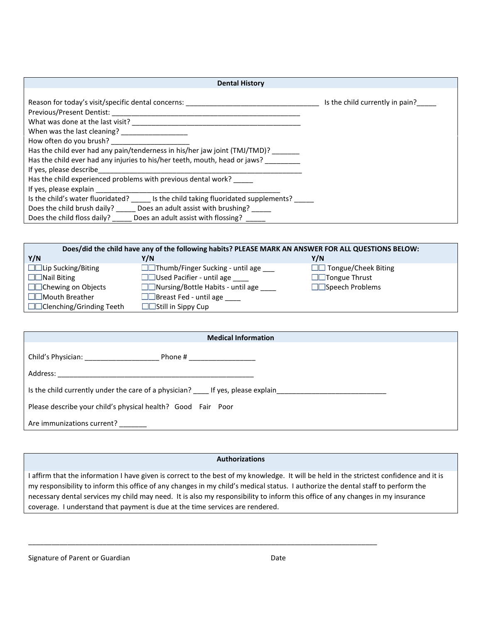| <b>Dental History</b>                                                                                                                             |                                 |
|---------------------------------------------------------------------------------------------------------------------------------------------------|---------------------------------|
|                                                                                                                                                   |                                 |
| Reason for today's visit/specific dental concerns:                                                                                                | Is the child currently in pain? |
| Previous/Present Dentist:<br><u> 1980 - Jan Barat, margaret ar brezhon eo ar brezhon en an den an den an den an den an den an den an den an d</u> |                                 |
| What was done at the last visit?                                                                                                                  |                                 |
|                                                                                                                                                   |                                 |
| How often do you brush?                                                                                                                           |                                 |
| Has the child ever had any pain/tenderness in his/her jaw joint (TMJ/TMD)?                                                                        |                                 |
| Has the child ever had any injuries to his/her teeth, mouth, head or jaws?                                                                        |                                 |
| If yes, please describe                                                                                                                           |                                 |
| Has the child experienced problems with previous dental work?                                                                                     |                                 |
| If yes, please explain                                                                                                                            |                                 |
| Is the child's water fluoridated? Is the child taking fluoridated supplements?                                                                    |                                 |
| Does an adult assist with brushing?<br>Does the child brush daily?                                                                                |                                 |
| Does the child floss daily?<br>Does an adult assist with flossing?                                                                                |                                 |

| Does/did the child have any of the following habits? PLEASE MARK AN ANSWER FOR ALL QUESTIONS BELOW: |                                        |                               |  |  |  |  |
|-----------------------------------------------------------------------------------------------------|----------------------------------------|-------------------------------|--|--|--|--|
| Y/N                                                                                                 | Y/N                                    | Y/N                           |  |  |  |  |
| <b>ELL</b> ip Sucking/Biting                                                                        | □□Thumb/Finger Sucking - until age ___ | <b>■■</b> Tongue/Cheek Biting |  |  |  |  |
| <b>Nail Biting</b>                                                                                  | □□Used Pacifier - until age ____       | <b>National Set Thrust</b>    |  |  |  |  |
| <b>Exercise</b> Chewing on Objects                                                                  | □□Nursing/Bottle Habits - until age    | Speech Problems               |  |  |  |  |
| Mouth Breather                                                                                      | Breast Fed - until age                 |                               |  |  |  |  |
| <b>■■Clenching/Grinding Teeth</b>                                                                   | Still in Sippy Cup                     |                               |  |  |  |  |

| <b>Medical Information</b>                                   |                                                                               |  |  |  |
|--------------------------------------------------------------|-------------------------------------------------------------------------------|--|--|--|
|                                                              |                                                                               |  |  |  |
|                                                              |                                                                               |  |  |  |
|                                                              | Is the child currently under the care of a physician? Let yes, please explain |  |  |  |
| Please describe your child's physical health? Good Fair Poor |                                                                               |  |  |  |
| Are immunizations current?                                   |                                                                               |  |  |  |

# **Authorizations**

I affirm that the information I have given is correct to the best of my knowledge. It will be held in the strictest confidence and it is my responsibility to inform this office of any changes in my child's medical status. I authorize the dental staff to perform the necessary dental services my child may need. It is also my responsibility to inform this office of any changes in my insurance coverage. I understand that payment is due at the time services are rendered.

\_\_\_\_\_\_\_\_\_\_\_\_\_\_\_\_\_\_\_\_\_\_\_\_\_\_\_\_\_\_\_\_\_\_\_\_\_\_\_\_\_\_\_\_\_\_\_\_\_\_\_\_\_\_\_\_\_\_\_\_\_\_\_\_\_\_\_\_\_\_\_\_\_\_\_\_\_\_\_\_\_\_\_\_\_\_\_\_\_

| Signature of Parent or Guardian | Date |
|---------------------------------|------|
|---------------------------------|------|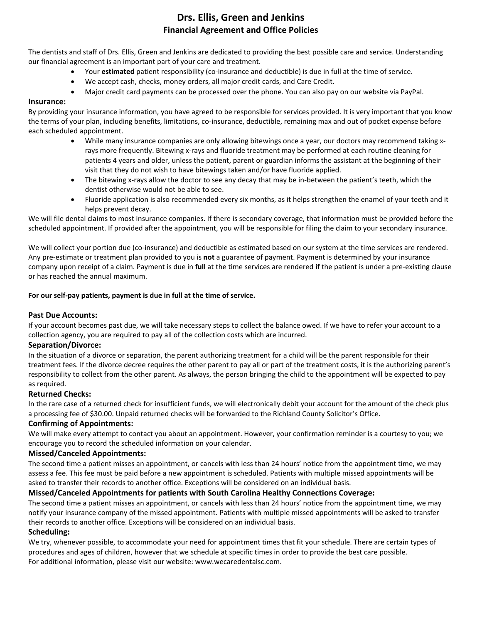# **Drs. Ellis, Green and Jenkins Financial Agreement and Office Policies**

The dentists and staff of Drs. Ellis, Green and Jenkins are dedicated to providing the best possible care and service. Understanding our financial agreement is an important part of your care and treatment.

- Your **estimated** patient responsibility (co-insurance and deductible) is due in full at the time of service.
- We accept cash, checks, money orders, all major credit cards, and Care Credit.
- Major credit card payments can be processed over the phone. You can also pay on our website via PayPal.

# **Insurance:**

By providing your insurance information, you have agreed to be responsible for services provided. It is very important that you know the terms of your plan, including benefits, limitations, co-insurance, deductible, remaining max and out of pocket expense before each scheduled appointment.

- While many insurance companies are only allowing bitewings once a year, our doctors may recommend taking xrays more frequently. Bitewing x-rays and fluoride treatment may be performed at each routine cleaning for patients 4 years and older, unless the patient, parent or guardian informs the assistant at the beginning of their visit that they do not wish to have bitewings taken and/or have fluoride applied.
- The bitewing x-rays allow the doctor to see any decay that may be in-between the patient's teeth, which the dentist otherwise would not be able to see.
- Fluoride application is also recommended every six months, as it helps strengthen the enamel of your teeth and it helps prevent decay.

We will file dental claims to most insurance companies. If there is secondary coverage, that information must be provided before the scheduled appointment. If provided after the appointment, you will be responsible for filing the claim to your secondary insurance.

We will collect your portion due (co-insurance) and deductible as estimated based on our system at the time services are rendered. Any pre-estimate or treatment plan provided to you is **not** a guarantee of payment. Payment is determined by your insurance company upon receipt of a claim. Payment is due in **full** at the time services are rendered **if** the patient is under a pre-existing clause or has reached the annual maximum.

# **For our self-pay patients, payment is due in full at the time of service.**

# **Past Due Accounts:**

If your account becomes past due, we will take necessary steps to collect the balance owed. If we have to refer your account to a collection agency, you are required to pay all of the collection costs which are incurred.

# **Separation/Divorce:**

In the situation of a divorce or separation, the parent authorizing treatment for a child will be the parent responsible for their treatment fees. If the divorce decree requires the other parent to pay all or part of the treatment costs, it is the authorizing parent's responsibility to collect from the other parent. As always, the person bringing the child to the appointment will be expected to pay as required.

# **Returned Checks:**

In the rare case of a returned check for insufficient funds, we will electronically debit your account for the amount of the check plus a processing fee of \$30.00. Unpaid returned checks will be forwarded to the Richland County Solicitor's Office.

# **Confirming of Appointments:**

We will make every attempt to contact you about an appointment. However, your confirmation reminder is a courtesy to you; we encourage you to record the scheduled information on your calendar.

# **Missed/Canceled Appointments:**

The second time a patient misses an appointment, or cancels with less than 24 hours' notice from the appointment time, we may assess a fee. This fee must be paid before a new appointment is scheduled. Patients with multiple missed appointments will be asked to transfer their records to another office. Exceptions will be considered on an individual basis.

# **Missed/Canceled Appointments for patients with South Carolina Healthy Connections Coverage:**

The second time a patient misses an appointment, or cancels with less than 24 hours' notice from the appointment time, we may notify your insurance company of the missed appointment. Patients with multiple missed appointments will be asked to transfer their records to another office. Exceptions will be considered on an individual basis.

# **Scheduling:**

We try, whenever possible, to accommodate your need for appointment times that fit your schedule. There are certain types of procedures and ages of children, however that we schedule at specific times in order to provide the best care possible. For additional information, please visit our website: www.wecaredentalsc.com.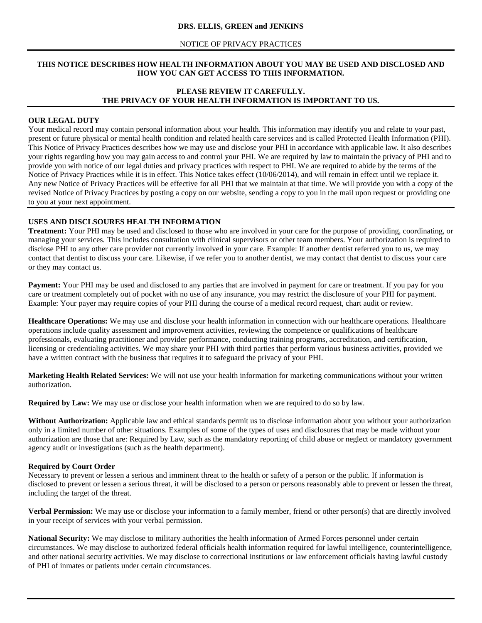### **DRS. ELLIS, GREEN and JENKINS**

### NOTICE OF PRIVACY PRACTICES

# **THIS NOTICE DESCRIBES HOW HEALTH INFORMATION ABOUT YOU MAY BE USED AND DISCLOSED AND HOW YOU CAN GET ACCESS TO THIS INFORMATION.**

# **PLEASE REVIEW IT CAREFULLY. THE PRIVACY OF YOUR HEALTH INFORMATION IS IMPORTANT TO US.**

### **OUR LEGAL DUTY**

Your medical record may contain personal information about your health. This information may identify you and relate to your past, present or future physical or mental health condition and related health care services and is called Protected Health Information (PHI). This Notice of Privacy Practices describes how we may use and disclose your PHI in accordance with applicable law. It also describes your rights regarding how you may gain access to and control your PHI. We are required by law to maintain the privacy of PHI and to provide you with notice of our legal duties and privacy practices with respect to PHI. We are required to abide by the terms of the Notice of Privacy Practices while it is in effect. This Notice takes effect (10/06/2014), and will remain in effect until we replace it. Any new Notice of Privacy Practices will be effective for all PHI that we maintain at that time. We will provide you with a copy of the revised Notice of Privacy Practices by posting a copy on our website, sending a copy to you in the mail upon request or providing one to you at your next appointment.

### **USES AND DISCLSOURES HEALTH INFORMATION**

**Treatment:** Your PHI may be used and disclosed to those who are involved in your care for the purpose of providing, coordinating, or managing your services. This includes consultation with clinical supervisors or other team members. Your authorization is required to disclose PHI to any other care provider not currently involved in your care. Example: If another dentist referred you to us, we may contact that dentist to discuss your care. Likewise, if we refer you to another dentist, we may contact that dentist to discuss your care or they may contact us.

**Payment:** Your PHI may be used and disclosed to any parties that are involved in payment for care or treatment. If you pay for you care or treatment completely out of pocket with no use of any insurance, you may restrict the disclosure of your PHI for payment. Example: Your payer may require copies of your PHI during the course of a medical record request, chart audit or review.

**Healthcare Operations:** We may use and disclose your health information in connection with our healthcare operations. Healthcare operations include quality assessment and improvement activities, reviewing the competence or qualifications of healthcare professionals, evaluating practitioner and provider performance, conducting training programs, accreditation, and certification, licensing or credentialing activities. We may share your PHI with third parties that perform various business activities, provided we have a written contract with the business that requires it to safeguard the privacy of your PHI.

**Marketing Health Related Services:** We will not use your health information for marketing communications without your written authorization.

**Required by Law:** We may use or disclose your health information when we are required to do so by law.

**Without Authorization:** Applicable law and ethical standards permit us to disclose information about you without your authorization only in a limited number of other situations. Examples of some of the types of uses and disclosures that may be made without your authorization are those that are: Required by Law, such as the mandatory reporting of child abuse or neglect or mandatory government agency audit or investigations (such as the health department).

### **Required by Court Order**

Necessary to prevent or lessen a serious and imminent threat to the health or safety of a person or the public. If information is disclosed to prevent or lessen a serious threat, it will be disclosed to a person or persons reasonably able to prevent or lessen the threat, including the target of the threat.

**Verbal Permission:** We may use or disclose your information to a family member, friend or other person(s) that are directly involved in your receipt of services with your verbal permission.

**National Security:** We may disclose to military authorities the health information of Armed Forces personnel under certain circumstances. We may disclose to authorized federal officials health information required for lawful intelligence, counterintelligence, and other national security activities. We may disclose to correctional institutions or law enforcement officials having lawful custody of PHI of inmates or patients under certain circumstances.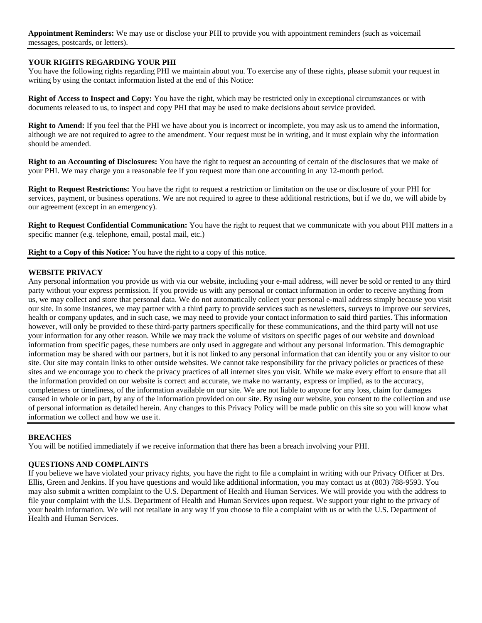**Appointment Reminders:** We may use or disclose your PHI to provide you with appointment reminders (such as voicemail messages, postcards, or letters).

# **YOUR RIGHTS REGARDING YOUR PHI**

You have the following rights regarding PHI we maintain about you. To exercise any of these rights, please submit your request in writing by using the contact information listed at the end of this Notice:

**Right of Access to Inspect and Copy:** You have the right, which may be restricted only in exceptional circumstances or with documents released to us, to inspect and copy PHI that may be used to make decisions about service provided.

**Right to Amend:** If you feel that the PHI we have about you is incorrect or incomplete, you may ask us to amend the information, although we are not required to agree to the amendment. Your request must be in writing, and it must explain why the information should be amended.

**Right to an Accounting of Disclosures:** You have the right to request an accounting of certain of the disclosures that we make of your PHI. We may charge you a reasonable fee if you request more than one accounting in any 12-month period.

**Right to Request Restrictions:** You have the right to request a restriction or limitation on the use or disclosure of your PHI for services, payment, or business operations. We are not required to agree to these additional restrictions, but if we do, we will abide by our agreement (except in an emergency).

**Right to Request Confidential Communication:** You have the right to request that we communicate with you about PHI matters in a specific manner (e.g. telephone, email, postal mail, etc.)

**Right to a Copy of this Notice:** You have the right to a copy of this notice.

### **WEBSITE PRIVACY**

Any personal information you provide us with via our website, including your e-mail address, will never be sold or rented to any third party without your express permission. If you provide us with any personal or contact information in order to receive anything from us, we may collect and store that personal data. We do not automatically collect your personal e-mail address simply because you visit our site. In some instances, we may partner with a third party to provide services such as newsletters, surveys to improve our services, health or company updates, and in such case, we may need to provide your contact information to said third parties. This information however, will only be provided to these third-party partners specifically for these communications, and the third party will not use your information for any other reason. While we may track the volume of visitors on specific pages of our website and download information from specific pages, these numbers are only used in aggregate and without any personal information. This demographic information may be shared with our partners, but it is not linked to any personal information that can identify you or any visitor to our site. Our site may contain links to other outside websites. We cannot take responsibility for the privacy policies or practices of these sites and we encourage you to check the privacy practices of all internet sites you visit. While we make every effort to ensure that all the information provided on our website is correct and accurate, we make no warranty, express or implied, as to the accuracy, completeness or timeliness, of the information available on our site. We are not liable to anyone for any loss, claim for damages caused in whole or in part, by any of the information provided on our site. By using our website, you consent to the collection and use of personal information as detailed herein. Any changes to this Privacy Policy will be made public on this site so you will know what information we collect and how we use it.

### **BREACHES**

You will be notified immediately if we receive information that there has been a breach involving your PHI.

### **QUESTIONS AND COMPLAINTS**

If you believe we have violated your privacy rights, you have the right to file a complaint in writing with our Privacy Officer at Drs. Ellis, Green and Jenkins. If you have questions and would like additional information, you may contact us at (803) 788-9593. You may also submit a written complaint to the U.S. Department of Health and Human Services. We will provide you with the address to file your complaint with the U.S. Department of Health and Human Services upon request. We support your right to the privacy of your health information. We will not retaliate in any way if you choose to file a complaint with us or with the U.S. Department of Health and Human Services.